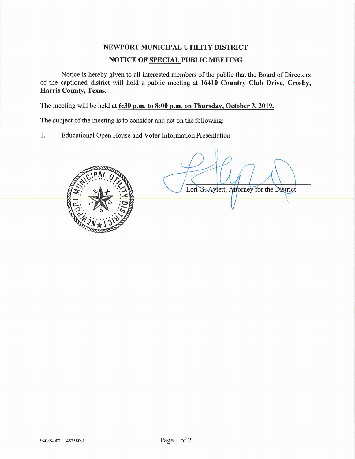# NEWPORT MUNICIPAL UTILITY DISTRICT NOTICE OF SPECIAL PUBLIC MEETING

Notice is hereby given to all interested members of the public that the Board of Directors of the captioned district will hold a public meeting at 16410 Country Club Drive, Crosby, Harris County, Texas.

The meeting will be held at 6:30 p.m. to 8:00 p.m. on Thursday, October 3, 2019.

The subject of the meeting is to consider and act on the following:

1. Educational Open House and Voter Information Presentation



Lori G. Aylett, Attorney for the District